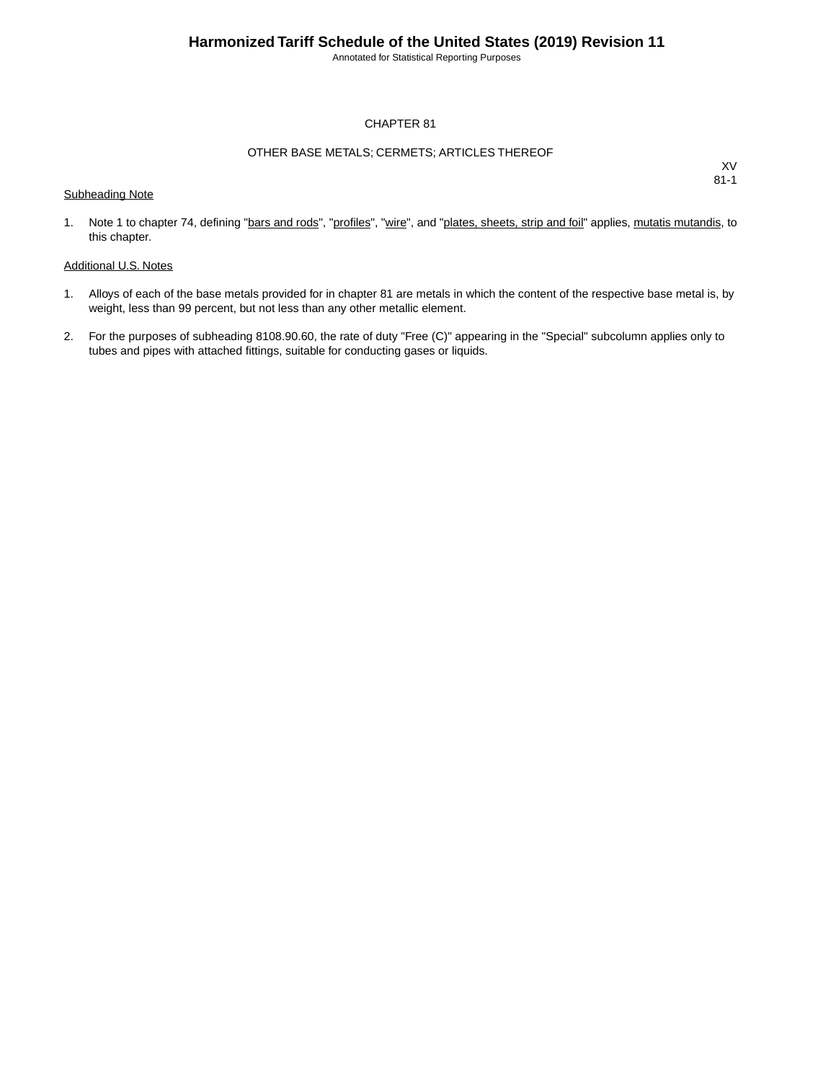Annotated for Statistical Reporting Purposes

#### CHAPTER 81

#### OTHER BASE METALS; CERMETS; ARTICLES THEREOF

XV 81-1

1. Note 1 to chapter 74, defining "bars and rods", "profiles", "wire", and "plates, sheets, strip and foil" applies, mutatis mutandis, to this chapter.

#### Additional U.S. Notes

Subheading Note

- 1. Alloys of each of the base metals provided for in chapter 81 are metals in which the content of the respective base metal is, by weight, less than 99 percent, but not less than any other metallic element.
- 2. For the purposes of subheading 8108.90.60, the rate of duty "Free (C)" appearing in the "Special" subcolumn applies only to tubes and pipes with attached fittings, suitable for conducting gases or liquids.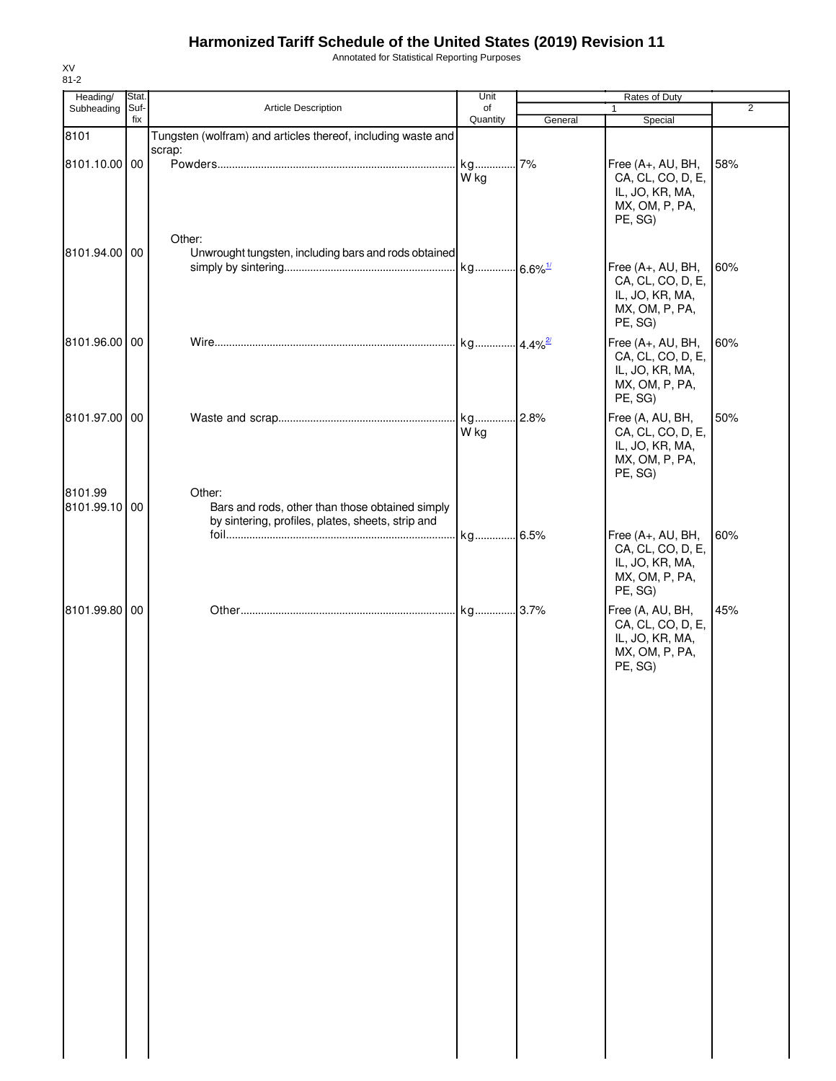Annotated for Statistical Reporting Purposes

| Heading/      | Stat. |                                                              | Unit                  |         | Rates of Duty                     |     |
|---------------|-------|--------------------------------------------------------------|-----------------------|---------|-----------------------------------|-----|
| Subheading    | Suf-  | <b>Article Description</b>                                   | of                    |         | $\mathbf{1}$                      | 2   |
|               | fix   |                                                              | Quantity              | General | Special                           |     |
| 8101          |       | Tungsten (wolfram) and articles thereof, including waste and |                       |         |                                   |     |
|               |       | scrap:                                                       |                       |         |                                   |     |
| 8101.10.00 00 |       |                                                              | kg                    | 7%      | Free (A+, AU, BH,                 | 58% |
|               |       |                                                              | W kg                  |         | CA, CL, CO, D, E,                 |     |
|               |       |                                                              |                       |         | IL, JO, KR, MA,<br>MX, OM, P, PA, |     |
|               |       |                                                              |                       |         | PE, SG)                           |     |
|               |       |                                                              |                       |         |                                   |     |
|               |       | Other:                                                       |                       |         |                                   |     |
| 8101.94.00 00 |       | Unwrought tungsten, including bars and rods obtained         |                       |         |                                   |     |
|               |       |                                                              | kg 6.6% <sup>1/</sup> |         | Free (A+, AU, BH,                 | 60% |
|               |       |                                                              |                       |         | CA, CL, CO, D, E,                 |     |
|               |       |                                                              |                       |         | IL, JO, KR, MA,                   |     |
|               |       |                                                              |                       |         | MX, OM, P, PA,                    |     |
|               |       |                                                              |                       |         | PE, SG)                           |     |
| 8101.96.00 00 |       |                                                              | kg 4.4% <sup>2/</sup> |         | Free (A+, AU, BH,                 | 60% |
|               |       |                                                              |                       |         | CA, CL, CO, D, E,                 |     |
|               |       |                                                              |                       |         | IL, JO, KR, MA,                   |     |
|               |       |                                                              |                       |         | MX, OM, P, PA,                    |     |
|               |       |                                                              |                       |         | PE, SG)                           |     |
| 8101.97.00 00 |       |                                                              |                       | .2.8%   | Free (A, AU, BH,                  | 50% |
|               |       |                                                              | W kg                  |         | CA, CL, CO, D, E,                 |     |
|               |       |                                                              |                       |         | IL, JO, KR, MA,                   |     |
|               |       |                                                              |                       |         | MX, OM, P, PA,                    |     |
|               |       |                                                              |                       |         | PE, SG)                           |     |
| 8101.99       |       | Other:                                                       |                       |         |                                   |     |
| 8101.99.10 00 |       | Bars and rods, other than those obtained simply              |                       |         |                                   |     |
|               |       | by sintering, profiles, plates, sheets, strip and            |                       |         |                                   |     |
|               |       |                                                              | kg 6.5%               |         | Free (A+, AU, BH,                 | 60% |
|               |       |                                                              |                       |         | CA, CL, CO, D, E,                 |     |
|               |       |                                                              |                       |         | IL, JO, KR, MA,                   |     |
|               |       |                                                              |                       |         | MX, OM, P, PA,                    |     |
|               |       |                                                              |                       |         | PE, SG)                           |     |
| 8101.99.80 00 |       |                                                              |                       |         | Free (A, AU, BH,                  | 45% |
|               |       |                                                              |                       |         | CA, CL, CO, D, E,                 |     |
|               |       |                                                              |                       |         | IL, JO, KR, MA,                   |     |
|               |       |                                                              |                       |         | MX, OM, P, PA,                    |     |
|               |       |                                                              |                       |         | PE, SG)                           |     |
|               |       |                                                              |                       |         |                                   |     |
|               |       |                                                              |                       |         |                                   |     |
|               |       |                                                              |                       |         |                                   |     |
|               |       |                                                              |                       |         |                                   |     |
|               |       |                                                              |                       |         |                                   |     |
|               |       |                                                              |                       |         |                                   |     |
|               |       |                                                              |                       |         |                                   |     |
|               |       |                                                              |                       |         |                                   |     |
|               |       |                                                              |                       |         |                                   |     |
|               |       |                                                              |                       |         |                                   |     |
|               |       |                                                              |                       |         |                                   |     |
|               |       |                                                              |                       |         |                                   |     |
|               |       |                                                              |                       |         |                                   |     |
|               |       |                                                              |                       |         |                                   |     |
|               |       |                                                              |                       |         |                                   |     |
|               |       |                                                              |                       |         |                                   |     |
|               |       |                                                              |                       |         |                                   |     |
|               |       |                                                              |                       |         |                                   |     |
|               |       |                                                              |                       |         |                                   |     |
|               |       |                                                              |                       |         |                                   |     |
|               |       |                                                              |                       |         |                                   |     |
|               |       |                                                              |                       |         |                                   |     |
|               |       |                                                              |                       |         |                                   |     |
|               |       |                                                              |                       |         |                                   |     |
|               |       |                                                              |                       |         |                                   |     |
|               |       |                                                              |                       |         |                                   |     |
|               |       |                                                              |                       |         |                                   |     |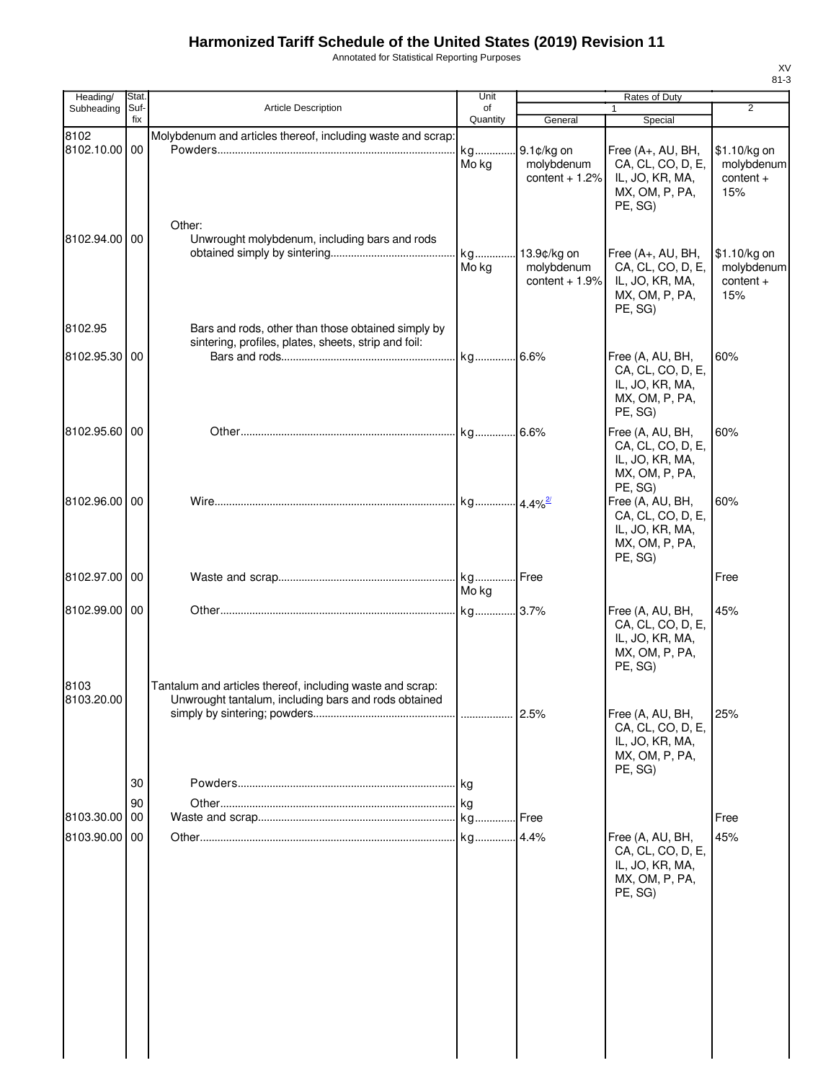Annotated for Statistical Reporting Purposes

| Heading/           | Stat.       |                                                                                                                   | Unit           | Rates of Duty                                |                                                                                        |                                                  |
|--------------------|-------------|-------------------------------------------------------------------------------------------------------------------|----------------|----------------------------------------------|----------------------------------------------------------------------------------------|--------------------------------------------------|
| Subheading         | Suf-<br>fix | Article Description                                                                                               | of<br>Quantity | General                                      | 1<br>Special                                                                           | $\overline{2}$                                   |
| 8102               |             | Molybdenum and articles thereof, including waste and scrap:                                                       |                |                                              |                                                                                        |                                                  |
| 8102.10.00 00      |             |                                                                                                                   | kg<br>Mo kg    | 9.1¢/kg on<br>molybdenum<br>content $+1.2%$  | Free (A+, AU, BH,<br>CA, CL, CO, D, E,<br>IL, JO, KR, MA,<br>MX, OM, P, PA,<br>PE, SG) | \$1.10/kg on<br>molybdenum<br>$content +$<br>15% |
| 8102.94.00 00      |             | Other:<br>Unwrought molybdenum, including bars and rods                                                           | kg<br>Mo kg    | 13.9¢/kg on<br>molybdenum<br>content $+1.9%$ | Free (A+, AU, BH,<br>CA, CL, CO, D, E,<br>IL, JO, KR, MA,<br>MX, OM, P, PA,<br>PE, SG) | \$1.10/kg on<br>molybdenum<br>$content +$<br>15% |
| 8102.95            |             | Bars and rods, other than those obtained simply by<br>sintering, profiles, plates, sheets, strip and foil:        |                |                                              |                                                                                        |                                                  |
| 8102.95.30 00      |             |                                                                                                                   |                |                                              | Free (A, AU, BH,<br>CA, CL, CO, D, E,<br>IL, JO, KR, MA,<br>MX, OM, P, PA,<br>PE, SG)  | 60%                                              |
| 8102.95.60 00      |             |                                                                                                                   |                |                                              | Free (A, AU, BH,<br>CA, CL, CO, D, E,<br>IL, JO, KR, MA,<br>MX, OM, P, PA,<br>PE, SG)  | 60%                                              |
| 8102.96.00 00      |             |                                                                                                                   |                |                                              | Free (A, AU, BH,<br>CA, CL, CO, D, E,<br>IL, JO, KR, MA,<br>MX, OM, P, PA,<br>PE, SG)  | 60%                                              |
| 8102.97.00 00      |             |                                                                                                                   | Mo kg          |                                              |                                                                                        | Free                                             |
| 8102.99.00 00      |             |                                                                                                                   |                |                                              | Free (A, AU, BH,<br>CA, CL, CO, D, E,<br>IL, JO, KR, MA,<br>MX, OM, P, PA,<br>PE, SG)  | 45%                                              |
| 8103<br>8103.20.00 |             | Tantalum and articles thereof, including waste and scrap:<br>Unwrought tantalum, including bars and rods obtained |                |                                              | Free (A, AU, BH,<br>CA, CL, CO, D, E,<br>IL, JO, KR, MA,<br>MX, OM, P, PA,<br>PE, SG)  | 25%                                              |
|                    | 30<br>90    |                                                                                                                   |                |                                              |                                                                                        |                                                  |
| 8103.30.00 00      |             |                                                                                                                   |                | .Free                                        |                                                                                        | Free                                             |
| 8103.90.00 00      |             |                                                                                                                   |                |                                              | Free (A, AU, BH,<br>CA, CL, CO, D, E,<br>IL, JO, KR, MA,<br>MX, OM, P, PA,<br>PE, SG)  | 45%                                              |
|                    |             |                                                                                                                   |                |                                              |                                                                                        |                                                  |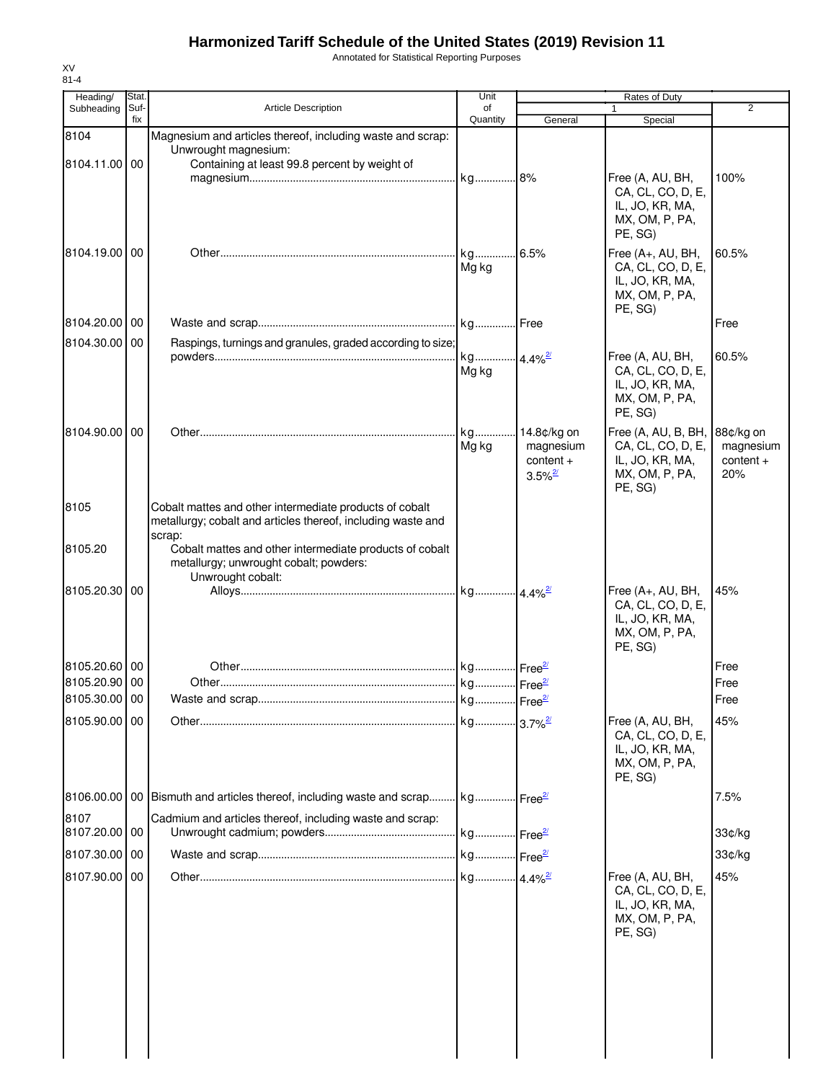Annotated for Statistical Reporting Purposes

| Heading/      | Stat. |                                                                                                    | Unit                  |                       | Rates of Duty             |                |
|---------------|-------|----------------------------------------------------------------------------------------------------|-----------------------|-----------------------|---------------------------|----------------|
| Subheading    | Suf-  | Article Description                                                                                | of                    |                       |                           | $\overline{2}$ |
|               | fix   |                                                                                                    | Quantity              | General               | Special                   |                |
| 8104          |       | Magnesium and articles thereof, including waste and scrap:                                         |                       |                       |                           |                |
|               |       | Unwrought magnesium:                                                                               |                       |                       |                           |                |
| 8104.11.00    | 00    | Containing at least 99.8 percent by weight of                                                      |                       |                       |                           |                |
|               |       |                                                                                                    |                       |                       | Free (A, AU, BH,          | 100%           |
|               |       |                                                                                                    |                       |                       | CA, CL, CO, D, E,         |                |
|               |       |                                                                                                    |                       |                       | IL, JO, KR, MA,           |                |
|               |       |                                                                                                    |                       |                       | MX, OM, P, PA,            |                |
|               |       |                                                                                                    |                       |                       | PE, SG)                   |                |
| 8104.19.00    | 00    |                                                                                                    |                       | 6.5%                  | Free (A+, AU, BH,         | 60.5%          |
|               |       |                                                                                                    | Mg kg                 |                       | CA, CL, CO, D, E,         |                |
|               |       |                                                                                                    |                       |                       | IL, JO, KR, MA,           |                |
|               |       |                                                                                                    |                       |                       | MX, OM, P, PA,            |                |
|               |       |                                                                                                    |                       |                       | PE, SG)                   |                |
| 8104.20.00 00 |       |                                                                                                    |                       |                       |                           | Free           |
| 8104.30.00    | 00    | Raspings, turnings and granules, graded according to size;                                         |                       |                       |                           |                |
|               |       |                                                                                                    | kg 4.4% <sup>2/</sup> |                       | Free (A, AU, BH,          | 60.5%          |
|               |       |                                                                                                    | Mg kg                 |                       | CA, CL, CO, D, E,         |                |
|               |       |                                                                                                    |                       |                       | IL, JO, KR, MA,           |                |
|               |       |                                                                                                    |                       |                       | MX, OM, P, PA,            |                |
|               |       |                                                                                                    |                       |                       | PE, SG)                   |                |
| 8104.90.00    | 00    |                                                                                                    |                       |                       | Free (A, AU, B, BH,       | 88¢/kg on      |
|               |       |                                                                                                    | Mg kg                 | magnesium             | CA, CL, CO, D, E,         | magnesium      |
|               |       |                                                                                                    |                       | $content +$           | IL, JO, KR, MA,           | $content +$    |
|               |       |                                                                                                    |                       | $3.5\%$ <sup>2/</sup> | MX, OM, P, PA,            | 20%            |
|               |       |                                                                                                    |                       |                       | PE, SG)                   |                |
| 8105          |       | Cobalt mattes and other intermediate products of cobalt                                            |                       |                       |                           |                |
|               |       | metallurgy; cobalt and articles thereof, including waste and                                       |                       |                       |                           |                |
|               |       | scrap:                                                                                             |                       |                       |                           |                |
| 8105.20       |       | Cobalt mattes and other intermediate products of cobalt                                            |                       |                       |                           |                |
|               |       | metallurgy; unwrought cobalt; powders:                                                             |                       |                       |                           |                |
|               |       | Unwrought cobalt:                                                                                  |                       |                       |                           |                |
| 8105.20.30    | 00    |                                                                                                    |                       |                       | Free (A+, AU, BH,         | 45%            |
|               |       |                                                                                                    |                       |                       | CA, CL, CO, D, E,         |                |
|               |       |                                                                                                    |                       |                       | IL, JO, KR, MA,           |                |
|               |       |                                                                                                    |                       |                       | MX, OM, P, PA,<br>PE, SG) |                |
|               |       |                                                                                                    |                       |                       |                           |                |
| 8105.20.60 00 |       |                                                                                                    |                       |                       |                           | Free           |
| 8105.20.90 00 |       |                                                                                                    |                       |                       |                           | Free           |
| 8105.30.00 00 |       |                                                                                                    |                       |                       |                           | ∣ Free         |
| 8105.90.00 00 |       |                                                                                                    |                       |                       | Free (A, AU, BH,          | 45%            |
|               |       |                                                                                                    |                       |                       | CA, CL, CO, D, E,         |                |
|               |       |                                                                                                    |                       |                       | IL, JO, KR, MA,           |                |
|               |       |                                                                                                    |                       |                       | MX, OM, P, PA,            |                |
|               |       |                                                                                                    |                       |                       | PE, SG)                   |                |
|               |       |                                                                                                    |                       |                       |                           |                |
|               |       | 8106.00.00   00   Bismuth and articles thereof, including waste and scrap   kg   Free <sup>2</sup> |                       |                       |                           | 7.5%           |
| 8107          |       | Cadmium and articles thereof, including waste and scrap:                                           |                       |                       |                           |                |
| 8107.20.00 00 |       |                                                                                                    |                       |                       |                           | 33¢/kg         |
| 8107.30.00 00 |       |                                                                                                    |                       |                       |                           | 33¢/kg         |
|               |       |                                                                                                    |                       |                       |                           |                |
| 8107.90.00 00 |       |                                                                                                    |                       |                       | Free (A, AU, BH,          | 45%            |
|               |       |                                                                                                    |                       |                       | CA, CL, CO, D, E,         |                |
|               |       |                                                                                                    |                       |                       | IL, JO, KR, MA,           |                |
|               |       |                                                                                                    |                       |                       | MX, OM, P, PA,            |                |
|               |       |                                                                                                    |                       |                       | PE, SG)                   |                |
|               |       |                                                                                                    |                       |                       |                           |                |
|               |       |                                                                                                    |                       |                       |                           |                |
|               |       |                                                                                                    |                       |                       |                           |                |
|               |       |                                                                                                    |                       |                       |                           |                |
|               |       |                                                                                                    |                       |                       |                           |                |
|               |       |                                                                                                    |                       |                       |                           |                |
|               |       |                                                                                                    |                       |                       |                           |                |
|               |       |                                                                                                    |                       |                       |                           |                |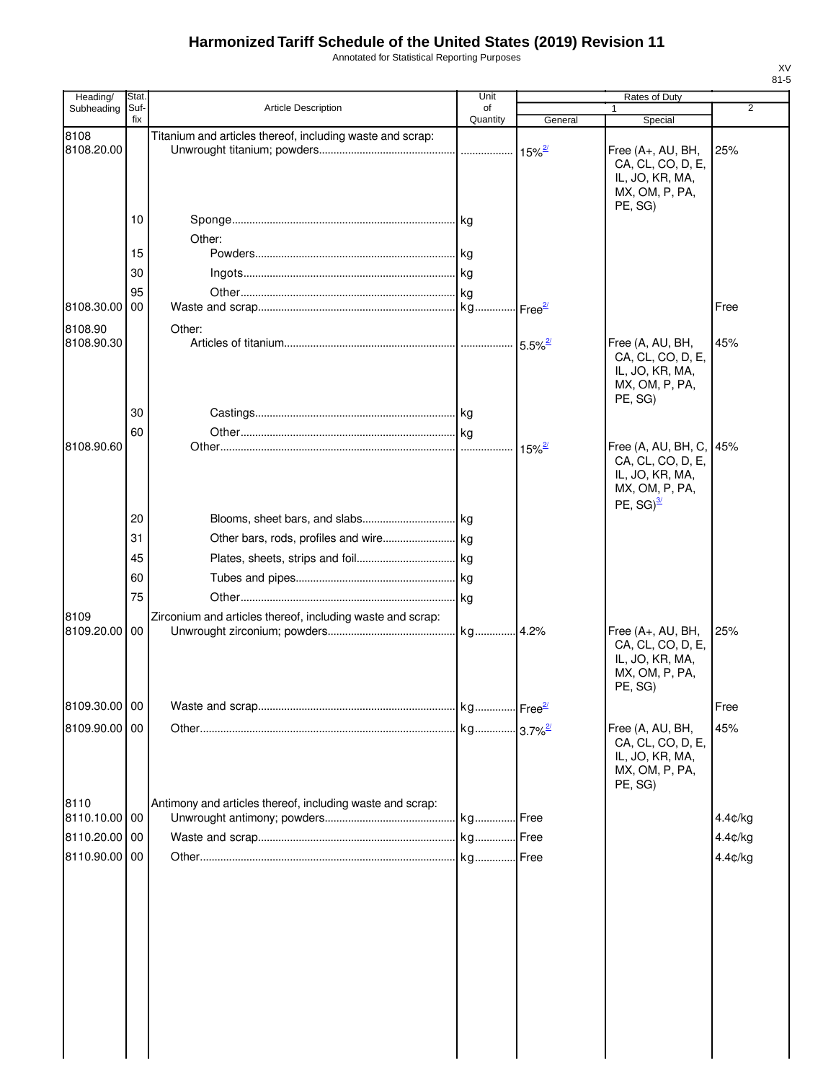Annotated for Statistical Reporting Purposes

| Heading/      | Stat.           |                                                            | Unit           |                         | Rates of Duty                                                                                         |                |
|---------------|-----------------|------------------------------------------------------------|----------------|-------------------------|-------------------------------------------------------------------------------------------------------|----------------|
| Subheading    | Suf-<br>fix     | Article Description                                        | of<br>Quantity | General                 | Special                                                                                               | $\overline{2}$ |
| 8108          |                 | Titanium and articles thereof, including waste and scrap:  |                |                         |                                                                                                       |                |
| 8108.20.00    |                 |                                                            |                | $15\%$ <sup>2/</sup>    | Free (A+, AU, BH,<br>CA, CL, CO, D, E,<br>IL, JO, KR, MA,<br>MX, OM, P, PA,                           | 25%            |
|               | 10              |                                                            |                |                         | PE, SG)                                                                                               |                |
|               |                 |                                                            |                |                         |                                                                                                       |                |
|               | 15              | Other:                                                     |                |                         |                                                                                                       |                |
|               | 30              |                                                            |                |                         |                                                                                                       |                |
|               | 95              |                                                            | kg             |                         |                                                                                                       |                |
| 8108.30.00 00 |                 |                                                            | kg             | $l$ Free $\frac{2l}{2}$ |                                                                                                       | Free           |
| 8108.90       |                 | Other:                                                     |                |                         |                                                                                                       |                |
| 8108.90.30    |                 |                                                            |                | $5.5\%$ <sup>2/</sup>   | Free (A, AU, BH,<br>CA, CL, CO, D, E,<br>IL, JO, KR, MA,<br>MX, OM, P, PA,<br>PE, SG)                 | 45%            |
|               | 30              |                                                            |                |                         |                                                                                                       |                |
|               | 60              |                                                            |                |                         |                                                                                                       |                |
| 8108.90.60    |                 |                                                            | $\ldots$       | $15\%$ <sup>2/</sup>    | Free (A, AU, BH, C, 145%<br>CA, CL, CO, D, E,<br>IL, JO, KR, MA,<br>MX, OM, P, PA,<br>PE, $SG)^{3/2}$ |                |
|               | 20              |                                                            |                |                         |                                                                                                       |                |
|               | 31              |                                                            |                |                         |                                                                                                       |                |
|               | 45              |                                                            |                |                         |                                                                                                       |                |
|               | 60              |                                                            |                |                         |                                                                                                       |                |
|               | 75              |                                                            |                |                         |                                                                                                       |                |
| 8109          |                 | Zirconium and articles thereof, including waste and scrap: |                |                         |                                                                                                       |                |
| 8109.20.00    | $\overline{00}$ |                                                            | kg             | 4.2%                    | Free (A+, AU, BH,<br>CA, CL, CO, D, E,<br>IL, JO, KR, MA,<br>MX, OM, P, PA,<br>PE, SG)                | 25%            |
| 8109.30.00 00 |                 |                                                            |                |                         |                                                                                                       | Free           |
| 8109.90.00 00 |                 |                                                            |                |                         | Free (A, AU, BH,                                                                                      | 45%            |
|               |                 |                                                            |                |                         | CA, CL, CO, D, E,<br>IL, JO, KR, MA,<br>MX, OM, P, PA,<br>PE, SG)                                     |                |
| 8110          |                 | Antimony and articles thereof, including waste and scrap:  |                |                         |                                                                                                       |                |
| 8110.10.00 00 |                 |                                                            |                | .lFree                  |                                                                                                       | 4.4¢/kg        |
| 8110.20.00 00 |                 |                                                            |                | Free                    |                                                                                                       | 4.4¢/kg        |
| 8110.90.00 00 |                 |                                                            | kg             | Free                    |                                                                                                       | 4.4¢/kg        |
|               |                 |                                                            |                |                         |                                                                                                       |                |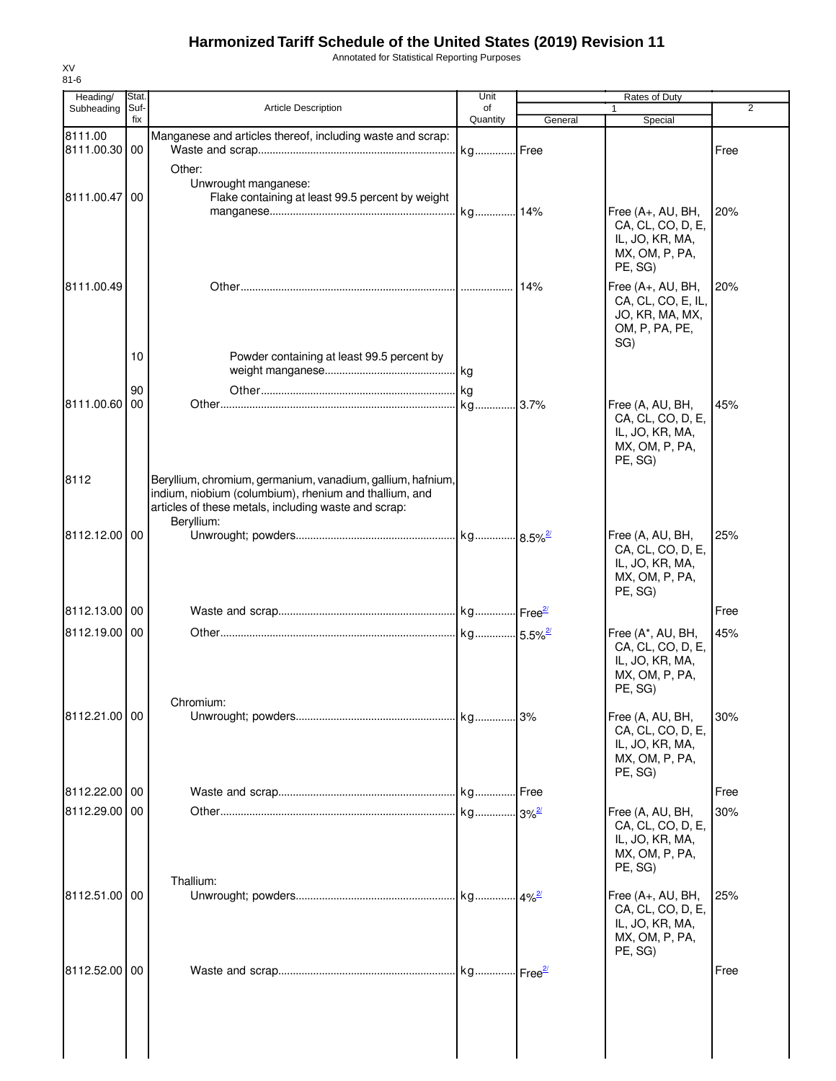Annotated for Statistical Reporting Purposes

| Heading/      | Stat.       |                                                                          | Unit           |         | Rates of Duty                        |                |
|---------------|-------------|--------------------------------------------------------------------------|----------------|---------|--------------------------------------|----------------|
| Subheading    | Suf-<br>fix | <b>Article Description</b>                                               | of<br>Quantity | General |                                      | $\overline{2}$ |
| 8111.00       |             | Manganese and articles thereof, including waste and scrap:               |                |         | Special                              |                |
| 8111.00.30 00 |             |                                                                          | kg Free        |         |                                      | Free           |
|               |             |                                                                          |                |         |                                      |                |
|               |             | Other:                                                                   |                |         |                                      |                |
| 8111.00.47 00 |             | Unwrought manganese:<br>Flake containing at least 99.5 percent by weight |                |         |                                      |                |
|               |             |                                                                          | kg 14%         |         | Free (A+, AU, BH,                    | 20%            |
|               |             |                                                                          |                |         | CA, CL, CO, D, E,                    |                |
|               |             |                                                                          |                |         | IL, JO, KR, MA,                      |                |
|               |             |                                                                          |                |         | MX, OM, P, PA,                       |                |
|               |             |                                                                          |                |         | PE, SG)                              |                |
| 8111.00.49    |             |                                                                          |                |         | Free (A+, AU, BH,                    | 20%            |
|               |             |                                                                          |                |         | CA, CL, CO, E, IL,                   |                |
|               |             |                                                                          |                |         | JO, KR, MA, MX,                      |                |
|               |             |                                                                          |                |         | OM, P, PA, PE,                       |                |
|               |             |                                                                          |                |         | SG)                                  |                |
|               | 10          | Powder containing at least 99.5 percent by                               |                |         |                                      |                |
|               |             |                                                                          |                |         |                                      |                |
|               | 90          |                                                                          |                |         |                                      |                |
| 8111.00.60    | 00          |                                                                          | kg 3.7%        |         | Free (A, AU, BH,                     | 45%            |
|               |             |                                                                          |                |         | CA, CL, CO, D, E,                    |                |
|               |             |                                                                          |                |         | IL, JO, KR, MA,                      |                |
|               |             |                                                                          |                |         | MX, OM, P, PA,                       |                |
|               |             |                                                                          |                |         | PE, SG)                              |                |
| 8112          |             | Beryllium, chromium, germanium, vanadium, gallium, hafnium,              |                |         |                                      |                |
|               |             | indium, niobium (columbium), rhenium and thallium, and                   |                |         |                                      |                |
|               |             | articles of these metals, including waste and scrap:                     |                |         |                                      |                |
|               |             | Beryllium:                                                               |                |         |                                      |                |
| 8112.12.00 00 |             |                                                                          |                |         | Free (A, AU, BH,                     | 25%            |
|               |             |                                                                          |                |         | CA, CL, CO, D, E,                    |                |
|               |             |                                                                          |                |         | IL, JO, KR, MA,<br>MX, OM, P, PA,    |                |
|               |             |                                                                          |                |         | PE, SG)                              |                |
|               |             |                                                                          |                |         |                                      |                |
| 8112.13.00 00 |             |                                                                          |                |         |                                      | Free           |
| 8112.19.00 00 |             |                                                                          |                |         | Free (A*, AU, BH,                    | 45%            |
|               |             |                                                                          |                |         | CA, CL, CO, D, E,                    |                |
|               |             |                                                                          |                |         | IL, JO, KR, MA,                      |                |
|               |             |                                                                          |                |         | MX, OM, P, PA,                       |                |
|               |             |                                                                          |                |         | PE, SG)                              |                |
| 8112.21.00 00 |             | Chromium:                                                                |                |         | Free (A, AU, BH,                     | 30%            |
|               |             |                                                                          |                |         | CA, CL, CO, D, E,                    |                |
|               |             |                                                                          |                |         | IL, JO, KR, MA,                      |                |
|               |             |                                                                          |                |         | MX, OM, P, PA,                       |                |
|               |             |                                                                          |                |         | PE, SG)                              |                |
| 8112.22.00 00 |             |                                                                          |                |         |                                      | Free           |
|               |             |                                                                          |                |         |                                      |                |
| 8112.29.00    | 00          |                                                                          |                |         | Free (A, AU, BH,                     | 30%            |
|               |             |                                                                          |                |         | CA, CL, CO, D, E,<br>IL, JO, KR, MA, |                |
|               |             |                                                                          |                |         | MX, OM, P, PA,                       |                |
|               |             |                                                                          |                |         | PE, SG)                              |                |
|               |             | Thallium:                                                                |                |         |                                      |                |
| 8112.51.00 00 |             |                                                                          |                |         | Free (A+, AU, BH,                    | 25%            |
|               |             |                                                                          |                |         | CA, CL, CO, D, E,                    |                |
|               |             |                                                                          |                |         | IL, JO, KR, MA,                      |                |
|               |             |                                                                          |                |         | MX, OM, P, PA,                       |                |
|               |             |                                                                          |                |         | PE, SG)                              |                |
| 8112.52.00    | 00          |                                                                          |                |         |                                      | Free           |
|               |             |                                                                          |                |         |                                      |                |
|               |             |                                                                          |                |         |                                      |                |
|               |             |                                                                          |                |         |                                      |                |
|               |             |                                                                          |                |         |                                      |                |
|               |             |                                                                          |                |         |                                      |                |
|               |             |                                                                          |                |         |                                      |                |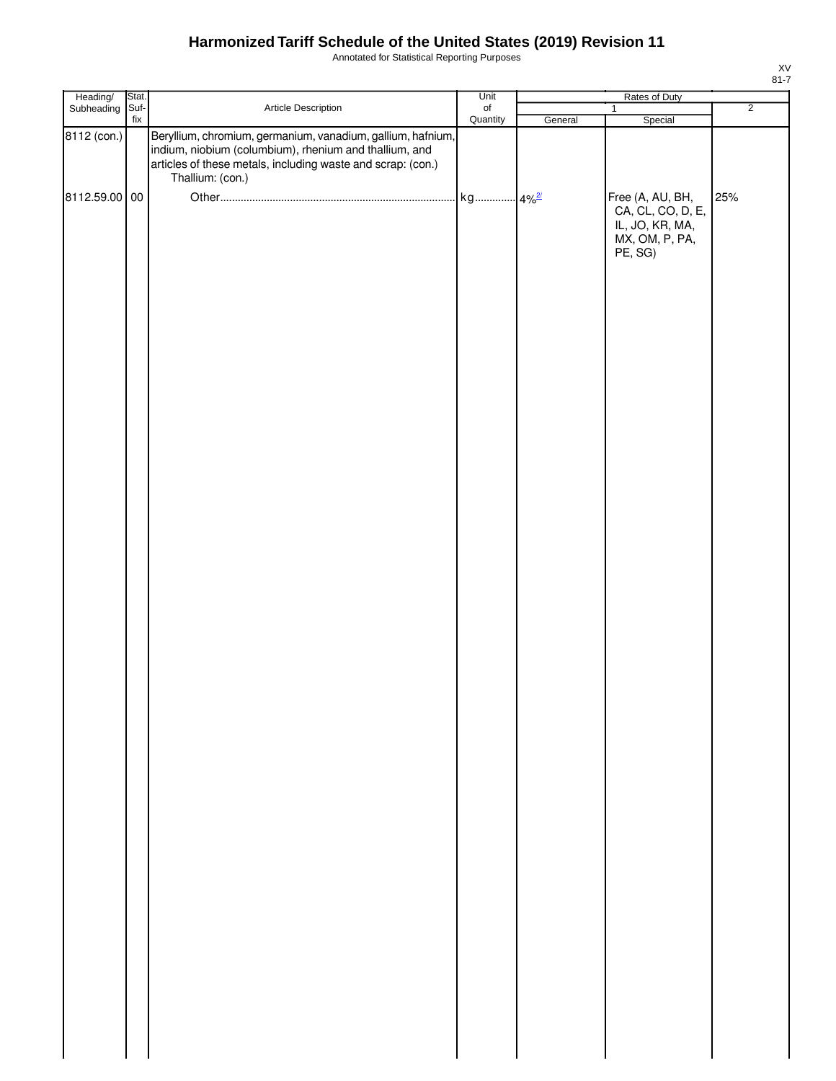Annotated for Statistical Reporting Purposes

| Heading/<br>Subheading   | Stat. |                                                                                                                                                                                                          | Unit      | Rates of Duty |                                                                                       |                |
|--------------------------|-------|----------------------------------------------------------------------------------------------------------------------------------------------------------------------------------------------------------|-----------|---------------|---------------------------------------------------------------------------------------|----------------|
|                          | Suf-  | Article Description                                                                                                                                                                                      | $\circ f$ |               | $\mathbf{1}$                                                                          | $\overline{2}$ |
| $\overline{8112}$ (con.) | fix   | Beryllium, chromium, germanium, vanadium, gallium, hafnium,<br>indium, niobium (columbium), rhenium and thallium, and<br>articles of these metals, including waste and scrap: (con.)<br>Thallium: (con.) | Quantity  | General       | Special                                                                               |                |
| 8112.59.00 00            |       |                                                                                                                                                                                                          |           |               | Free (A, AU, BH,<br>CA, CL, CO, D, E,<br>IL, JO, KR, MA,<br>MX, OM, P, PA,<br>PE, SG) | 25%            |
|                          |       |                                                                                                                                                                                                          |           |               |                                                                                       |                |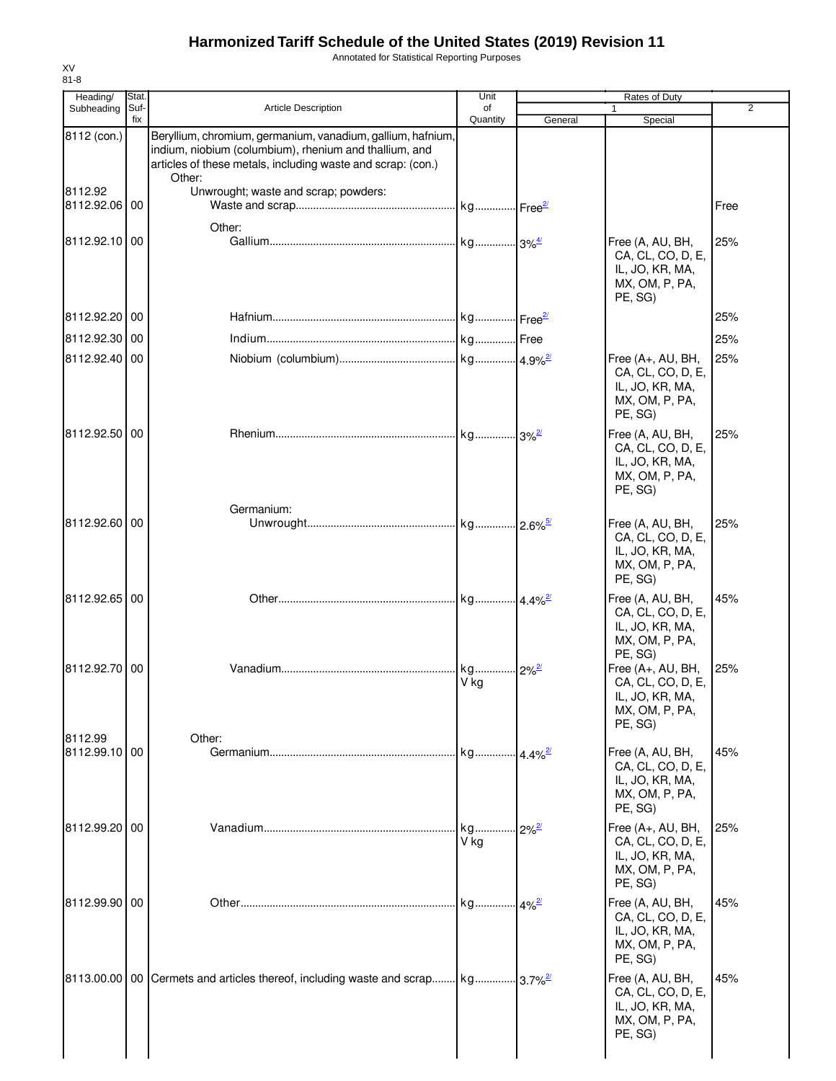Annotated for Statistical Reporting Purposes

| Heading/                 | <b>Stat</b> |                                                                                                                                                                                                | Unit                        |                         | Rates of Duty                                                                                     |      |
|--------------------------|-------------|------------------------------------------------------------------------------------------------------------------------------------------------------------------------------------------------|-----------------------------|-------------------------|---------------------------------------------------------------------------------------------------|------|
| Subheading               | Suf-<br>fix | <b>Article Description</b>                                                                                                                                                                     | of<br>Quantity              | General                 | Special                                                                                           | 2    |
| 8112 (con.)              |             | Beryllium, chromium, germanium, vanadium, gallium, hafnium,<br>indium, niobium (columbium), rhenium and thallium, and<br>articles of these metals, including waste and scrap: (con.)<br>Other: |                             |                         |                                                                                                   |      |
| 8112.92<br>8112.92.06 00 |             | Unwrought; waste and scrap; powders:                                                                                                                                                           |                             |                         |                                                                                                   | Free |
| 8112.92.10 00            |             | Other:                                                                                                                                                                                         |                             |                         | Free (A, AU, BH,<br>CA, CL, CO, D, E,<br>IL, JO, KR, MA,<br>MX, OM, P, PA,<br>PE, SG)             | 25%  |
| 8112.92.20 00            |             |                                                                                                                                                                                                |                             |                         |                                                                                                   | 25%  |
| 8112.92.30 00            |             |                                                                                                                                                                                                |                             |                         |                                                                                                   | 25%  |
| 8112.92.40 00            |             |                                                                                                                                                                                                |                             |                         | Free (A+, AU, BH,<br>CA, CL, CO, D, E,<br>IL, JO, KR, MA,<br>MX, OM, P, PA,<br>PE, SG)            | 25%  |
| 8112.92.50 00            |             |                                                                                                                                                                                                |                             |                         | Free (A, AU, BH,<br>CA, CL, CO, D, E,<br>IL, JO, KR, MA,<br>MX, OM, P, PA,<br>PE, SG)             | 25%  |
| 8112.92.60 00            |             | Germanium:                                                                                                                                                                                     |                             |                         | Free (A, AU, BH,<br>CA, CL, CO, D, E,<br>IL, JO, KR, MA,<br>MX, OM, P, PA,<br>PE, SG)             | 25%  |
| 8112.92.65 00            |             |                                                                                                                                                                                                |                             |                         | Free (A, AU, BH,<br>CA, CL, CO, D, E,<br>IL, JO, KR, MA,<br>MX, OM, P, PA,                        | 45%  |
| 8112.92.70 00            |             |                                                                                                                                                                                                | kg 2% <sup>2/</sup><br>V kg |                         | PE, SG)<br>Free (A+, AU, BH,<br>CA, CL, CO, D, E,<br>IL, JO, KR, MA,<br>MX, OM, P, PA,<br>PE, SG) | 25%  |
| 8112.99<br>8112.99.10 00 |             | Other:                                                                                                                                                                                         |                             |                         | Free (A, AU, BH,<br>CA, CL, CO, D, E,<br>IL, JO, KR, MA,<br>MX, OM, P, PA,<br>PE, SG)             | 45%  |
| 8112.99.20 00            |             |                                                                                                                                                                                                | kg<br>V ka                  | $2\%^{2l}$              | Free (A+, AU, BH,<br>CA, CL, CO, D, E,<br>IL, JO, KR, MA,<br>MX, OM, P, PA,<br>PE, SG)            | 25%  |
| 8112.99.90 00            |             |                                                                                                                                                                                                | kg                          | $.4\%$ <sup>2/</sup>    | Free (A, AU, BH,<br>CA, CL, CO, D, E,<br>IL, JO, KR, MA,<br>MX, OM, P, PA,<br>PE, SG)             | 45%  |
|                          |             | 8113.00.00   00   Cermets and articles thereof, including waste and scrap kg                                                                                                                   |                             | $.13.7\%$ <sup>2/</sup> | Free (A, AU, BH,<br>CA, CL, CO, D, E,<br>IL, JO, KR, MA,<br>MX, OM, P, PA,<br>PE, SG)             | 45%  |